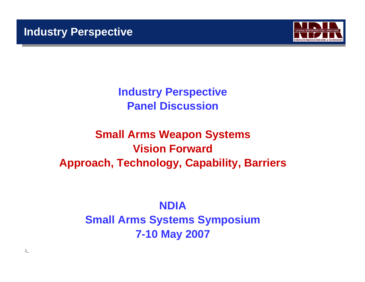

**Industry Perspective Panel Discussion**

# **Small Arms Weapon Systems Vision ForwardApproach, Technology, Capability, Barriers**

# **NDIASmall Arms Systems Symposium 7-10 May 2007**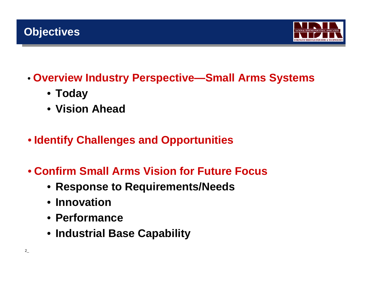## **Objectives**



- **Overview Industry Perspective—Small Arms Systems**
	- **Today**
	- **Vision Ahead**
- **Identify Challenges and Opportunities**
- **Confirm Small Arms Vision for Future Focus**
	- **Response to Requirements/Needs**
	- **Innovation**
	- **Performance**
	- **Industrial Base Capability**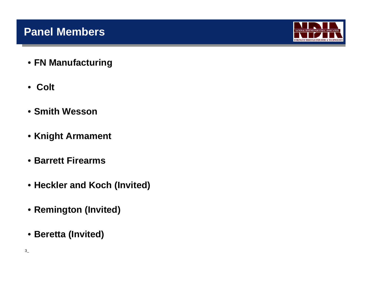### **Panel Members**



- **FN Manufacturing**
- **Colt**
- **Smith Wesson**
- **Knight Armament**
- **Barrett Firearms**
- **Heckler and Koch (Invited)**
- **Remington (Invited)**
- **Beretta (Invited)**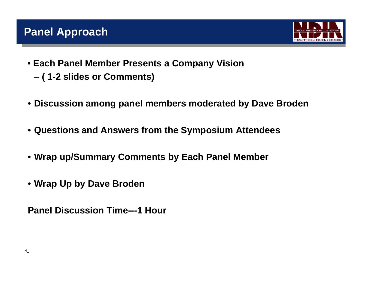## **Panel Approach**



- **Each Panel Member Presents a Company Vision** 
	- –**( 1-2 slides or Comments)**
- **Discussion among panel members moderated by Dave Broden**
- **Questions and Answers from the Symposium Attendees**
- **Wrap up/Summary Comments by Each Panel Member**
- **Wrap Up by Dave Broden**

**Panel Discussion Time---1 Hour**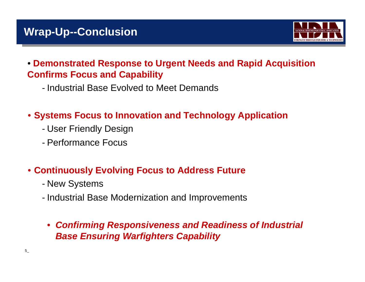## **Wrap-Up--Conclusion**



#### • **Demonstrated Response to Urgent Needs and Rapid Acquisition Confirms Focus and Capability**

- Industrial Base Evolved to Meet Demands

### • **Systems Focus to Innovation and Technology Application**

- User Friendly Design
- Performance Focus

#### • **Continuously Evolving Focus to Address Future**

- -New Systems
- Industrial Base Modernization and Improvements
- *Confirming Responsiveness and Readiness of Industrial Base Ensuring Warfighters Capability*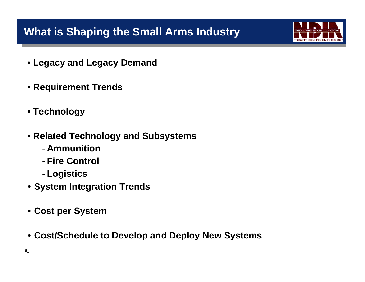## **What is Shaping the Small Arms Industry**



- **Legacy and Legacy Demand**
- **Requirement Trends**
- **Technology**
- **Related Technology and Subsystems**
	- **Ammunition**
	- **Fire Control**
	- **Logistics**
- **System Integration Trends**
- **Cost per System**
- **Cost/Schedule to Develop and Deploy New Systems**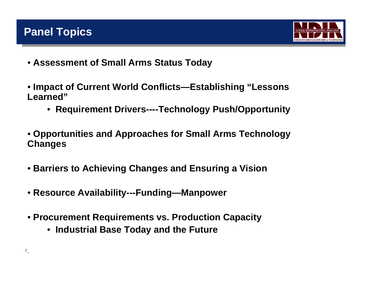



- **Assessment of Small Arms Status Today**
- **Impact of Current World Conflicts—Establishing "Lessons Learned"**
	- **Requirement Drivers----Technology Push/Opportunity**
- **Opportunities and Approaches for Small Arms Technology Changes**
- **Barriers to Achieving Changes and Ensuring a Vision**
- **Resource Availability---Funding—Manpower**
- **Procurement Requirements vs. Production Capacity**
	- **Industrial Base Today and the Future**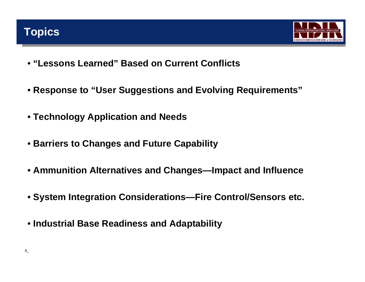## **Topics**



- **"Lessons Learned" Based on Current Conflicts**
- **Response to "User Suggestions and Evolving Requirements"**
- **Technology Application and Needs**
- **Barriers to Changes and Future Capability**
- **Ammunition Alternatives and Changes—Impact and Influence**
- **System Integration Considerations—Fire Control/Sensors etc.**
- **Industrial Base Readiness and Adaptability**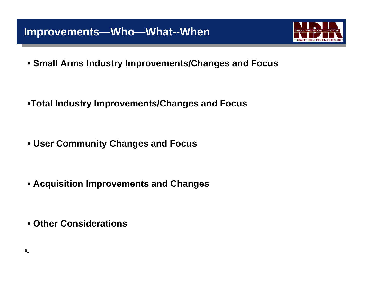### **Improvements—Who—What--When**



• **Small Arms Industry Improvements/Changes and Focus**

•**Total Industry Improvements/Changes and Focus**

• **User Community Changes and Focus**

• **Acquisition Improvements and Changes**

• **Other Considerations**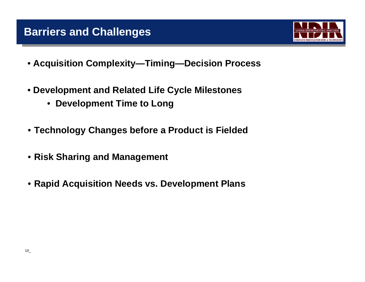### **Barriers and Challenges**



- **Acquisition Complexity—Timing—Decision Process**
- **Development and Related Life Cycle Milestones**
	- **Development Time to Long**
- **Technology Changes before a Product is Fielded**
- **Risk Sharing and Management**
- **Rapid Acquisition Needs vs. Development Plans**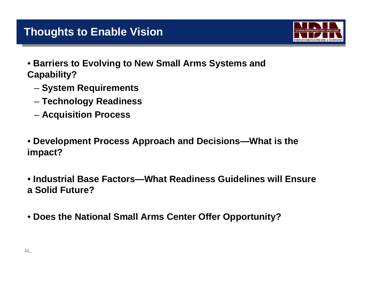### **Thoughts to Enable Vision**



- **Barriers to Evolving to New Small Arms Systems and Capability?**
	- –**System Requirements**
	- –**Technology Readiness**
	- –**Acquisition Process**
- **Development Process Approach and Decisions—What is the impact?**
- **Industrial Base Factors—What Readiness Guidelines will Ensure a Solid Future?**
- **Does the National Small Arms Center Offer Opportunity?**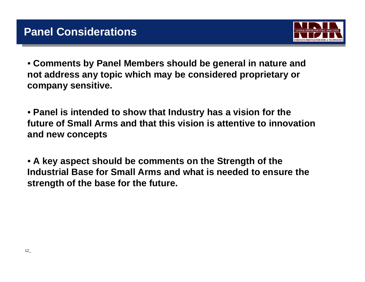

• **Comments by Panel Members should be general in nature and not address any topic which may be considered proprietary or company sensitive.**

• **Panel is intended to show that Industry has a vision for the future of Small Arms and that this vision is attentive to innovation and new concepts** 

• **A key aspect should be comments on the Strength of the Industrial Base for Small Arms and what is needed to ensure the strength of the base for the future.**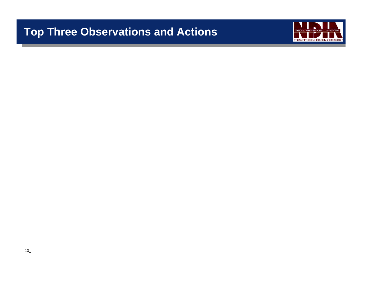## **Top Three Observations and Actions**